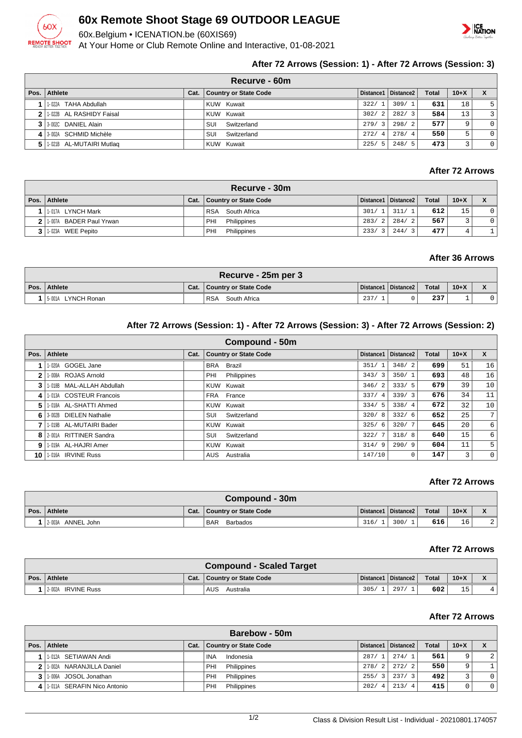

## **60x Remote Shoot Stage 69 OUTDOOR LEAGUE**

60x.Belgium • ICENATION.be (60XIS69)

At Your Home or Club Remote Online and Interactive, 01-08-2021



## **After 72 Arrows (Session: 1) - After 72 Arrows (Session: 3)**

|      | Recurve - 60m              |      |                              |       |                       |              |        |                |  |  |  |  |
|------|----------------------------|------|------------------------------|-------|-----------------------|--------------|--------|----------------|--|--|--|--|
| Pos. | Athlete                    | Cat. | <b>Country or State Code</b> |       | Distance1   Distance2 | <b>Total</b> | $10+X$ |                |  |  |  |  |
|      | 1-022A TAHA Abdullah       |      | KUW Kuwait                   | 322/1 | 309/1                 | 631          | 18     | 5 <sup>1</sup> |  |  |  |  |
|      | 2 1:022B AL RASHIDY Faisal |      | KUW Kuwait                   | 302/2 | 282/3                 | 584          | 13     | $\overline{3}$ |  |  |  |  |
|      | 3 3 3 002C DANIEL Alain    |      | Switzerland<br>SUI           | 279/3 | 298/2                 | 577          | 9      | $\overline{0}$ |  |  |  |  |
|      | 4 3-002A SCHMID Michèle    |      | SUI<br>Switzerland           | 272/4 | 278/4                 | 550          | 5      | $\overline{0}$ |  |  |  |  |
|      | 1-021B AL-MUTAIRI Mutlag   |      | KUW Kuwait                   | 225/5 | 248/5                 | 473          |        | $\overline{0}$ |  |  |  |  |

## **After 72 Arrows**

|   | Recurve - 30m             |  |                              |       |                         |              |          |                |  |  |  |  |
|---|---------------------------|--|------------------------------|-------|-------------------------|--------------|----------|----------------|--|--|--|--|
|   | Pos.   Athlete            |  | Cat.   Country or State Code |       | Distance1   Distance2   | <b>Total</b> | $10 + X$ |                |  |  |  |  |
| 1 | 1-017A LYNCH Mark         |  | RSA South Africa             |       | 301/ 1  311/ 1          | 612          | 15       | 0 <sup>1</sup> |  |  |  |  |
|   | 2 1.007A BADER Paul Yrwan |  | PHI<br>Philippines           |       | 283/2   284/2           | 567.         |          | 0 <sup>1</sup> |  |  |  |  |
|   | 1-023A WEE Pepito         |  | PHI<br>Philippines           | 233/3 | 1244/<br>$\overline{3}$ | 477          |          |                |  |  |  |  |

#### **After 36 Arrows**

| Recurve - 25m per 3 |      |                            |                       |  |       |        |  |  |  |  |
|---------------------|------|----------------------------|-----------------------|--|-------|--------|--|--|--|--|
| Pos.   Athlete      | Cat. | Country or State Code      | Distance1   Distance2 |  | Total | $10+X$ |  |  |  |  |
| 5-001A LYNCH Ronan  |      | South Africa<br><b>RSA</b> | 237                   |  | 237   |        |  |  |  |  |

## **After 72 Arrows (Session: 1) - After 72 Arrows (Session: 3) - After 72 Arrows (Session: 2)**

|      | Compound - 50m               |      |                              |            |                       |              |        |             |  |  |  |
|------|------------------------------|------|------------------------------|------------|-----------------------|--------------|--------|-------------|--|--|--|
| Pos. | <b>Athlete</b>               | Cat. | <b>Country or State Code</b> | Distance1  | Distance <sub>2</sub> | <b>Total</b> | $10+X$ | X           |  |  |  |
|      | GOGEL Jane<br>1-020A         |      | Brazil<br><b>BRA</b>         | 351/       | 348/2                 | 699          | 51     | 16          |  |  |  |
| 2    | ROJAS Arnold<br>1-008A       |      | Philippines<br>PHI           | 343/3      | 350/1                 | 693          | 48     | 16          |  |  |  |
| 3    | 1-018B MAL-ALLAH Abdullah    |      | KUW Kuwait                   | 346/2      | 333/5                 | 679          | 39     | 10          |  |  |  |
| 4    | 1-013A COSTEUR Francois      |      | FRA France                   | 337/4      | 339/3                 | 676          | 34     | 11          |  |  |  |
| 5    | 1-018A AL-SHATTI Ahmed       |      | KUW Kuwait                   | 334/5      | 338/4                 | 672          | 32     | 10          |  |  |  |
| 6    | 3-002B DIELEN Nathalie       |      | Switzerland<br>SUI           | 320/<br>-8 | 332/6                 | 652          | 25     | 7           |  |  |  |
|      | 1-019B AL-MUTAIRI Bader      |      | KUW Kuwait                   | 325/<br>-6 | 320/7                 | 645          | 20     | 6           |  |  |  |
| 8    | 2-001A RITTINER Sandra       |      | SUI<br>Switzerland           | 322/       | 318/8                 | 640          | 15     | 6           |  |  |  |
| 9    | 1-019A AL-HAJRI Amer         |      | KUW Kuwait                   | 314/9      | 290/9                 | 604          | 11     | 5           |  |  |  |
| 10   | <b>IRVINE Russ</b><br>1-016A |      | AUS<br>Australia             | 147/10     | $\Omega$              | 147          | 3      | $\mathbf 0$ |  |  |  |

#### **After 72 Arrows**

| Compound - 30m    |      |                        |      |                       |       |        |  |  |  |  |
|-------------------|------|------------------------|------|-----------------------|-------|--------|--|--|--|--|
| Pos. Athlete      | Cat. | Country or State Code  |      | Distance1   Distance2 | Total | $10+X$ |  |  |  |  |
| 2-003A ANNEL John |      | <b>BAR</b><br>Barbados | 316/ | 300/                  | 616'  | 16     |  |  |  |  |

#### **After 72 Arrows**

|                    |      | <b>Compound - Scaled Target</b> |      |                       |              |        |  |
|--------------------|------|---------------------------------|------|-----------------------|--------------|--------|--|
| Pos. Athlete       | Cat. | Country or State Code           |      | Distance1   Distance2 | <b>Total</b> | $10+X$ |  |
| 2-002A IRVINE Russ |      | <b>AUS</b><br>Australia         | 305/ | 297/                  | 602          | Б.     |  |

### **After 72 Arrows**

|              | Barebow - 50m               |      |                              |                        |                        |              |        |   |  |  |  |
|--------------|-----------------------------|------|------------------------------|------------------------|------------------------|--------------|--------|---|--|--|--|
|              | Pos.   Athlete              | Cat. | <b>Country or State Code</b> |                        | Distance1   Distance2  | <b>Total</b> | $10+X$ |   |  |  |  |
|              | 1-012A SETIAWAN Andi        |      | INA<br>Indonesia             | 287/1                  | 274/1                  | 561          | 9      | 2 |  |  |  |
| 21           | 1-002A NARANJILLA Daniel    |      | Philippines<br>PHI           | 278/2                  | 272/2                  | 550          | 9      |   |  |  |  |
|              | 3 1.006A JOSOL Jonathan     |      | Philippines<br>PHI           | 255/3                  | 237/3                  | 492          |        |   |  |  |  |
| $\mathbf{A}$ | 1-011A SERAFIN Nico Antonio |      | Philippines<br>PHI           | 202/<br>$\overline{4}$ | 213/<br>$\overline{4}$ | 415          |        |   |  |  |  |